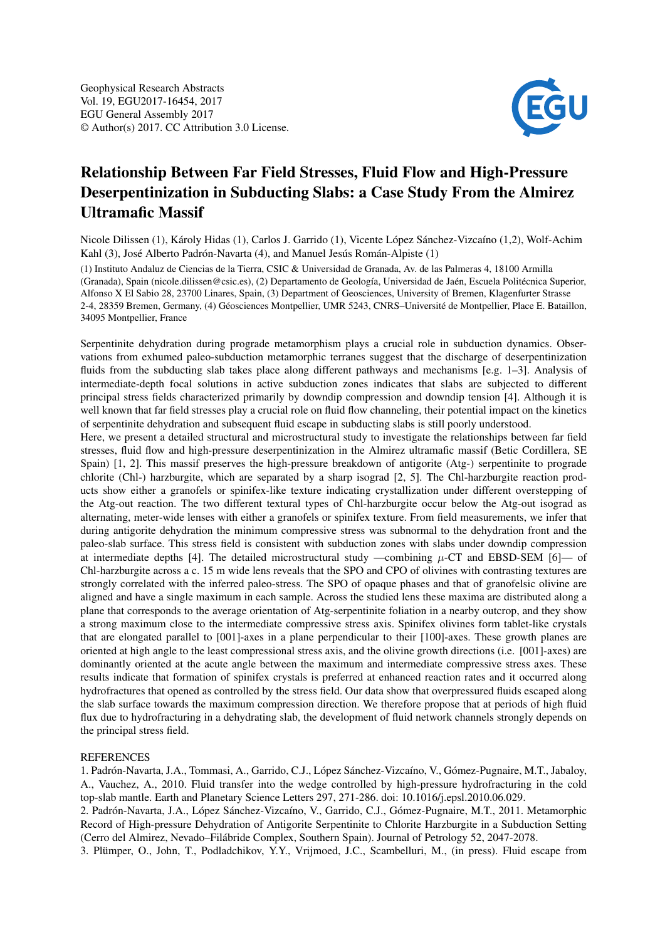

## Relationship Between Far Field Stresses, Fluid Flow and High-Pressure Deserpentinization in Subducting Slabs: a Case Study From the Almirez Ultramafic Massif

Nicole Dilissen (1), Károly Hidas (1), Carlos J. Garrido (1), Vicente López Sánchez-Vizcaíno (1,2), Wolf-Achim Kahl (3), José Alberto Padrón-Navarta (4), and Manuel Jesús Román-Alpiste (1)

(1) Instituto Andaluz de Ciencias de la Tierra, CSIC & Universidad de Granada, Av. de las Palmeras 4, 18100 Armilla (Granada), Spain (nicole.dilissen@csic.es), (2) Departamento de Geología, Universidad de Jaén, Escuela Politécnica Superior, Alfonso X El Sabio 28, 23700 Linares, Spain, (3) Department of Geosciences, University of Bremen, Klagenfurter Strasse 2-4, 28359 Bremen, Germany, (4) Géosciences Montpellier, UMR 5243, CNRS–Université de Montpellier, Place E. Bataillon, 34095 Montpellier, France

Serpentinite dehydration during prograde metamorphism plays a crucial role in subduction dynamics. Observations from exhumed paleo-subduction metamorphic terranes suggest that the discharge of deserpentinization fluids from the subducting slab takes place along different pathways and mechanisms [e.g. 1–3]. Analysis of intermediate-depth focal solutions in active subduction zones indicates that slabs are subjected to different principal stress fields characterized primarily by downdip compression and downdip tension [4]. Although it is well known that far field stresses play a crucial role on fluid flow channeling, their potential impact on the kinetics of serpentinite dehydration and subsequent fluid escape in subducting slabs is still poorly understood.

Here, we present a detailed structural and microstructural study to investigate the relationships between far field stresses, fluid flow and high-pressure deserpentinization in the Almirez ultramafic massif (Betic Cordillera, SE Spain) [1, 2]. This massif preserves the high-pressure breakdown of antigorite (Atg-) serpentinite to prograde chlorite (Chl-) harzburgite, which are separated by a sharp isograd [2, 5]. The Chl-harzburgite reaction products show either a granofels or spinifex-like texture indicating crystallization under different overstepping of the Atg-out reaction. The two different textural types of Chl-harzburgite occur below the Atg-out isograd as alternating, meter-wide lenses with either a granofels or spinifex texture. From field measurements, we infer that during antigorite dehydration the minimum compressive stress was subnormal to the dehydration front and the paleo-slab surface. This stress field is consistent with subduction zones with slabs under downdip compression at intermediate depths [4]. The detailed microstructural study —combining  $\mu$ -CT and EBSD-SEM [6]— of Chl-harzburgite across a c. 15 m wide lens reveals that the SPO and CPO of olivines with contrasting textures are strongly correlated with the inferred paleo-stress. The SPO of opaque phases and that of granofelsic olivine are aligned and have a single maximum in each sample. Across the studied lens these maxima are distributed along a plane that corresponds to the average orientation of Atg-serpentinite foliation in a nearby outcrop, and they show a strong maximum close to the intermediate compressive stress axis. Spinifex olivines form tablet-like crystals that are elongated parallel to [001]-axes in a plane perpendicular to their [100]-axes. These growth planes are oriented at high angle to the least compressional stress axis, and the olivine growth directions (i.e. [001]-axes) are dominantly oriented at the acute angle between the maximum and intermediate compressive stress axes. These results indicate that formation of spinifex crystals is preferred at enhanced reaction rates and it occurred along hydrofractures that opened as controlled by the stress field. Our data show that overpressured fluids escaped along the slab surface towards the maximum compression direction. We therefore propose that at periods of high fluid flux due to hydrofracturing in a dehydrating slab, the development of fluid network channels strongly depends on the principal stress field.

## **REFERENCES**

1. Padrón-Navarta, J.A., Tommasi, A., Garrido, C.J., López Sánchez-Vizcaíno, V., Gómez-Pugnaire, M.T., Jabaloy, A., Vauchez, A., 2010. Fluid transfer into the wedge controlled by high-pressure hydrofracturing in the cold top-slab mantle. Earth and Planetary Science Letters 297, 271-286. doi: 10.1016/j.epsl.2010.06.029.

2. Padrón-Navarta, J.A., López Sánchez-Vizcaíno, V., Garrido, C.J., Gómez-Pugnaire, M.T., 2011. Metamorphic Record of High-pressure Dehydration of Antigorite Serpentinite to Chlorite Harzburgite in a Subduction Setting (Cerro del Almirez, Nevado–Filábride Complex, Southern Spain). Journal of Petrology 52, 2047-2078.

3. Plümper, O., John, T., Podladchikov, Y.Y., Vrijmoed, J.C., Scambelluri, M., (in press). Fluid escape from